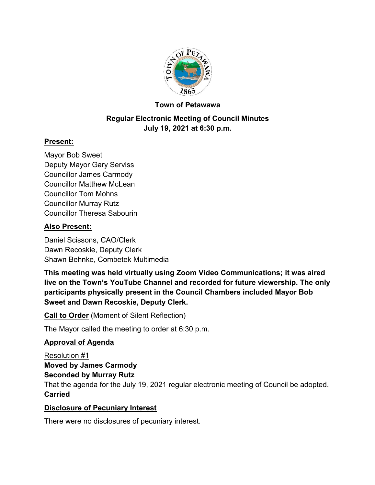

# **Town of Petawawa**

# **Regular Electronic Meeting of Council Minutes July 19, 2021 at 6:30 p.m.**

# **Present:**

Mayor Bob Sweet Deputy Mayor Gary Serviss Councillor James Carmody Councillor Matthew McLean Councillor Tom Mohns Councillor Murray Rutz Councillor Theresa Sabourin

# **Also Present:**

Daniel Scissons, CAO/Clerk Dawn Recoskie, Deputy Clerk Shawn Behnke, Combetek Multimedia

**This meeting was held virtually using Zoom Video Communications; it was aired live on the Town's YouTube Channel and recorded for future viewership. The only participants physically present in the Council Chambers included Mayor Bob Sweet and Dawn Recoskie, Deputy Clerk.**

**Call to Order** (Moment of Silent Reflection)

The Mayor called the meeting to order at 6:30 p.m.

## **Approval of Agenda**

Resolution #1 **Moved by James Carmody Seconded by Murray Rutz**

That the agenda for the July 19, 2021 regular electronic meeting of Council be adopted. **Carried**

## **Disclosure of Pecuniary Interest**

There were no disclosures of pecuniary interest.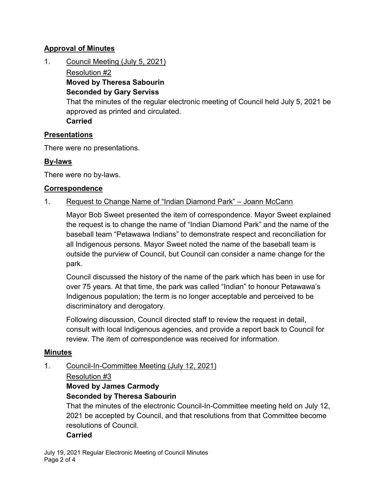# **Approval of Minutes**

1. Council Meeting (July 5, 2021)

Resolution #2 **Moved by Theresa Sabourin Seconded by Gary Serviss** That the minutes of the regular electronic meeting of Council held July 5, 2021 be approved as printed and circulated. **Carried**

## **Presentations**

There were no presentations.

# **By-laws**

There were no by-laws.

## **Correspondence**

## 1. Request to Change Name of "Indian Diamond Park" – Joann McCann

Mayor Bob Sweet presented the item of correspondence. Mayor Sweet explained the request is to change the name of "Indian Diamond Park" and the name of the baseball team "Petawawa Indians" to demonstrate respect and reconciliation for all Indigenous persons. Mayor Sweet noted the name of the baseball team is outside the purview of Council, but Council can consider a name change for the park.

Council discussed the history of the name of the park which has been in use for over 75 years. At that time, the park was called "Indian" to honour Petawawa's Indigenous population; the term is no longer acceptable and perceived to be discriminatory and derogatory.

Following discussion, Council directed staff to review the request in detail, consult with local Indigenous agencies, and provide a report back to Council for review. The item of correspondence was received for information.

#### **Minutes**

1. Council-In-Committee Meeting (July 12, 2021)

#### Resolution #3

# **Moved by James Carmody**

# **Seconded by Theresa Sabourin**

That the minutes of the electronic Council-In-Committee meeting held on July 12, 2021 be accepted by Council, and that resolutions from that Committee become resolutions of Council.

#### **Carried**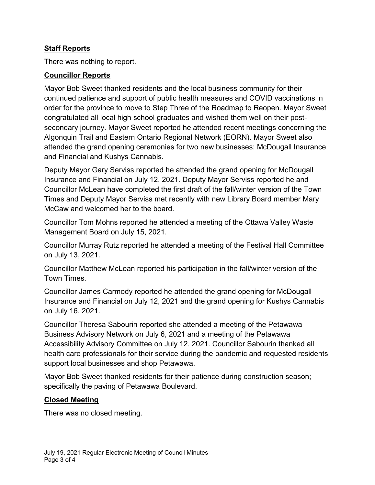# **Staff Reports**

There was nothing to report.

## **Councillor Reports**

Mayor Bob Sweet thanked residents and the local business community for their continued patience and support of public health measures and COVID vaccinations in order for the province to move to Step Three of the Roadmap to Reopen. Mayor Sweet congratulated all local high school graduates and wished them well on their postsecondary journey. Mayor Sweet reported he attended recent meetings concerning the Algonquin Trail and Eastern Ontario Regional Network (EORN). Mayor Sweet also attended the grand opening ceremonies for two new businesses: McDougall Insurance and Financial and Kushys Cannabis.

Deputy Mayor Gary Serviss reported he attended the grand opening for McDougall Insurance and Financial on July 12, 2021. Deputy Mayor Serviss reported he and Councillor McLean have completed the first draft of the fall/winter version of the Town Times and Deputy Mayor Serviss met recently with new Library Board member Mary McCaw and welcomed her to the board.

Councillor Tom Mohns reported he attended a meeting of the Ottawa Valley Waste Management Board on July 15, 2021.

Councillor Murray Rutz reported he attended a meeting of the Festival Hall Committee on July 13, 2021.

Councillor Matthew McLean reported his participation in the fall/winter version of the Town Times.

Councillor James Carmody reported he attended the grand opening for McDougall Insurance and Financial on July 12, 2021 and the grand opening for Kushys Cannabis on July 16, 2021.

Councillor Theresa Sabourin reported she attended a meeting of the Petawawa Business Advisory Network on July 6, 2021 and a meeting of the Petawawa Accessibility Advisory Committee on July 12, 2021. Councillor Sabourin thanked all health care professionals for their service during the pandemic and requested residents support local businesses and shop Petawawa.

Mayor Bob Sweet thanked residents for their patience during construction season; specifically the paving of Petawawa Boulevard.

## **Closed Meeting**

There was no closed meeting.